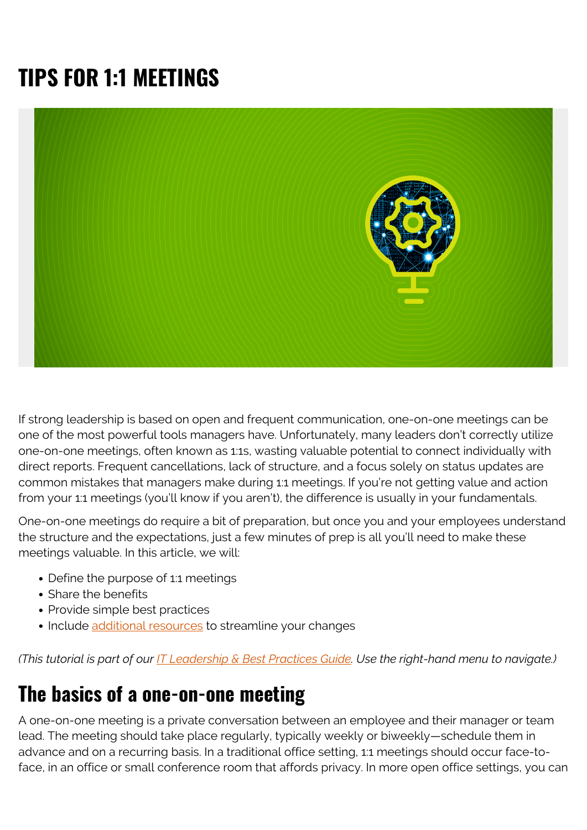# **TIPS FOR 1:1 MEETINGS**



If strong leadership is based on open and frequent communication, one-on-one meetings can be one of the most powerful tools managers have. Unfortunately, many leaders don't correctly utilize one-on-one meetings, often known as 1:1s, wasting valuable potential to connect individually with direct reports. Frequent cancellations, lack of structure, and a focus solely on status updates are common mistakes that managers make during 1:1 meetings. If you're not getting value and action from your 1:1 meetings (you'll know if you aren't), the difference is usually in your fundamentals.

One-on-one meetings do require a bit of preparation, but once you and your employees understand the structure and the expectations, just a few minutes of prep is all you'll need to make these meetings valuable. In this article, we will:

- Define the purpose of 1:1 meetings
- Share the benefits
- Provide simple best practices
- Include [additional resources](#page--1-0) to streamline your changes

*(This tutorial is part of our [IT Leadership & Best Practices Guide](https://blogs.bmc.com/blogs/offensive-defensive-leadership/). Use the right-hand menu to navigate.)*

## **The basics of a one-on-one meeting**

A one-on-one meeting is a private conversation between an employee and their manager or team lead. The meeting should take place regularly, typically weekly or biweekly—schedule them in advance and on a recurring basis. In a traditional office setting, 1:1 meetings should occur face-toface, in an office or small conference room that affords privacy. In more open office settings, you can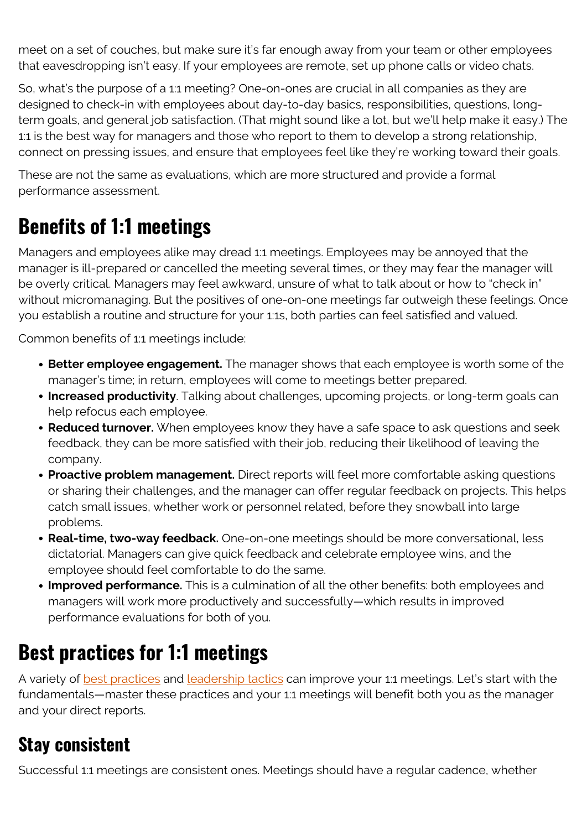meet on a set of couches, but make sure it's far enough away from your team or other employees that eavesdropping isn't easy. If your employees are remote, set up phone calls or video chats.

So, what's the purpose of a 1:1 meeting? One-on-ones are crucial in all companies as they are designed to check-in with employees about day-to-day basics, responsibilities, questions, longterm goals, and general job satisfaction. (That might sound like a lot, but we'll help make it easy.) The 1:1 is the best way for managers and those who report to them to develop a strong relationship, connect on pressing issues, and ensure that employees feel like they're working toward their goals.

These are not the same as evaluations, which are more structured and provide a formal performance assessment.

## **Benefits of 1:1 meetings**

Managers and employees alike may dread 1:1 meetings. Employees may be annoyed that the manager is ill-prepared or cancelled the meeting several times, or they may fear the manager will be overly critical. Managers may feel awkward, unsure of what to talk about or how to "check in" without micromanaging. But the positives of one-on-one meetings far outweigh these feelings. Once you establish a routine and structure for your 1:1s, both parties can feel satisfied and valued.

Common benefits of 1:1 meetings include:

- **Better employee engagement.** The manager shows that each employee is worth some of the manager's time; in return, employees will come to meetings better prepared.
- **Increased productivity**. Talking about challenges, upcoming projects, or long-term goals can help refocus each employee.
- **Reduced turnover.** When employees know they have a safe space to ask questions and seek feedback, they can be more satisfied with their job, reducing their likelihood of leaving the company.
- **Proactive problem management.** Direct reports will feel more comfortable asking questions or sharing their challenges, and the manager can offer regular feedback on projects. This helps catch small issues, whether work or personnel related, before they snowball into large problems.
- **Real-time, two-way feedback.** One-on-one meetings should be more conversational, less dictatorial. Managers can give quick feedback and celebrate employee wins, and the employee should feel comfortable to do the same.
- **Improved performance.** This is a culmination of all the other benefits: both employees and managers will work more productively and successfully—which results in improved performance evaluations for both of you.

## **Best practices for 1:1 meetings**

A variety of **best practices** and **leadership tactics** can improve your 1:1 meetings. Let's start with the fundamentals—master these practices and your 1:1 meetings will benefit both you as the manager and your direct reports.

#### **Stay consistent**

Successful 1:1 meetings are consistent ones. Meetings should have a regular cadence, whether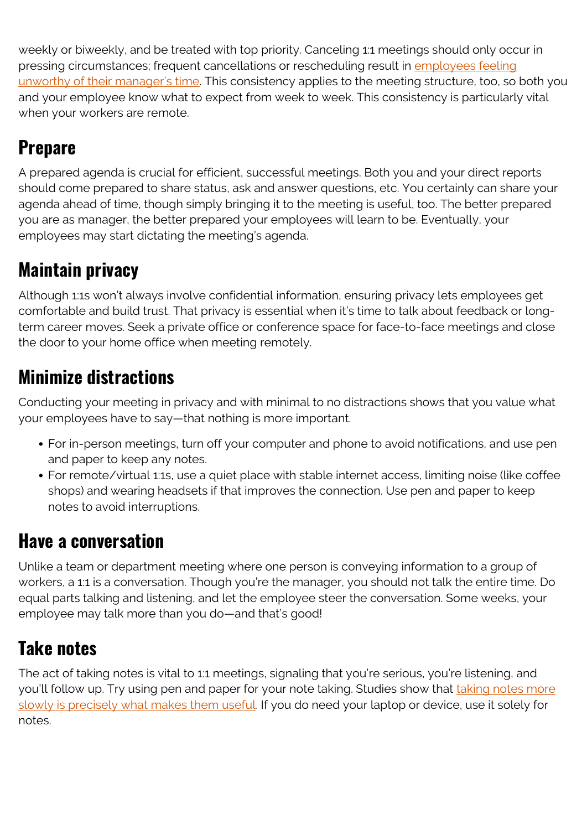weekly or biweekly, and be treated with top priority. Canceling 1:1 meetings should only occur in pressing circumstances; frequent cancellations or rescheduling result in [employees feeling](https://www.forbes.com/sites/work-in-progress/2013/11/11/the-secret-to-effective-one-on-one-meetings-with-direct-reports/) [unworthy of their manager's time](https://www.forbes.com/sites/work-in-progress/2013/11/11/the-secret-to-effective-one-on-one-meetings-with-direct-reports/). This consistency applies to the meeting structure, too, so both you and your employee know what to expect from week to week. This consistency is particularly vital when your workers are remote.

## **Prepare**

A prepared agenda is crucial for efficient, successful meetings. Both you and your direct reports should come prepared to share status, ask and answer questions, etc. You certainly can share your agenda ahead of time, though simply bringing it to the meeting is useful, too. The better prepared you are as manager, the better prepared your employees will learn to be. Eventually, your employees may start dictating the meeting's agenda.

### **Maintain privacy**

Although 1:1s won't always involve confidential information, ensuring privacy lets employees get comfortable and build trust. That privacy is essential when it's time to talk about feedback or longterm career moves. Seek a private office or conference space for face-to-face meetings and close the door to your home office when meeting remotely.

#### **Minimize distractions**

Conducting your meeting in privacy and with minimal to no distractions shows that you value what your employees have to say—that nothing is more important.

- For in-person meetings, turn off your computer and phone to avoid notifications, and use pen and paper to keep any notes.
- For remote/virtual 1:1s, use a quiet place with stable internet access, limiting noise (like coffee shops) and wearing headsets if that improves the connection. Use pen and paper to keep notes to avoid interruptions.

#### **Have a conversation**

Unlike a team or department meeting where one person is conveying information to a group of workers, a 1:1 is a conversation. Though you're the manager, you should not talk the entire time. Do equal parts talking and listening, and let the employee steer the conversation. Some weeks, your employee may talk more than you do—and that's good!

#### **Take notes**

The act of taking notes is vital to 1:1 meetings, signaling that you're serious, you're listening, and you'll follow up. Try using pen and paper for your note taking. Studies show that [taking notes more](https://www.npr.org/2016/04/17/474525392/attention-students-put-your-laptops-away) [slowly is precisely what makes them useful](https://www.npr.org/2016/04/17/474525392/attention-students-put-your-laptops-away). If you do need your laptop or device, use it solely for notes.